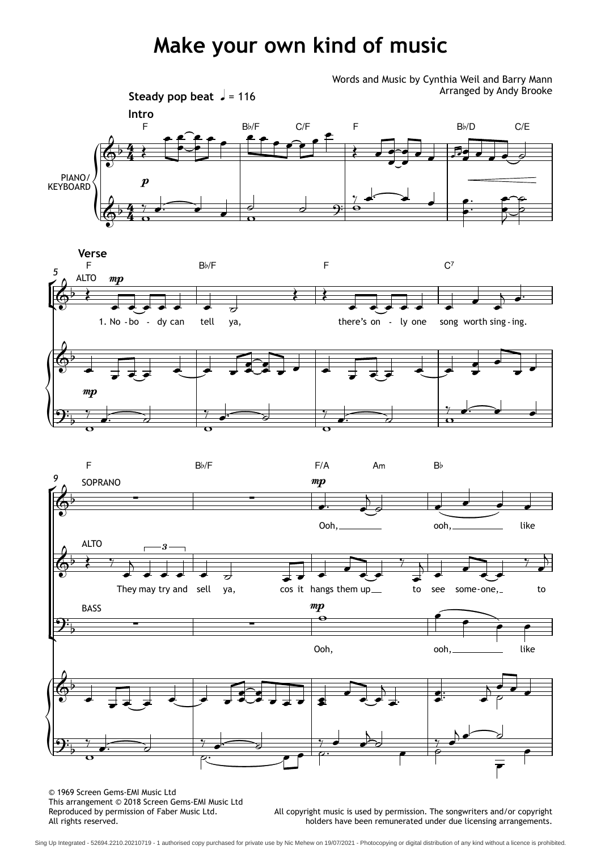## **Make your own kind of music**



 $\frac{1}{2}$  $9\frac{1}{b}$  $\begin{array}{c|c}\n & \text{mp} \\
\hline\n\end{array}$ Ooh, ooh, like  $\overrightarrow{e}$  $\overrightarrow{e}$ 



© 1969 Screen Gems-EMI Music Ltd This arrangement © 2018 Screen Gems-EMI Music Ltd Reproduced by permission of Faber Music Ltd.<br>All rights reserved.

All copyright music is used by permission. The songwriters and/or copyright holders have been remunerated under due licensing arrangements.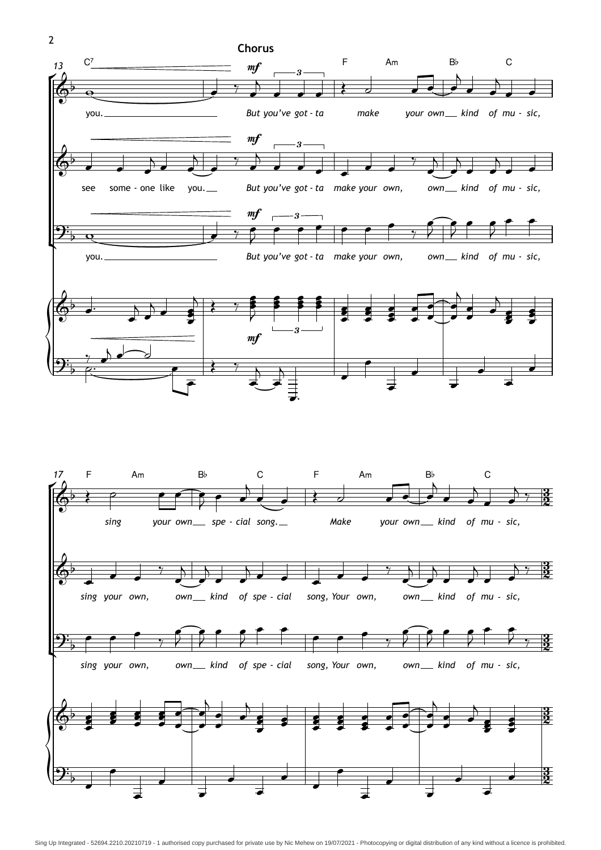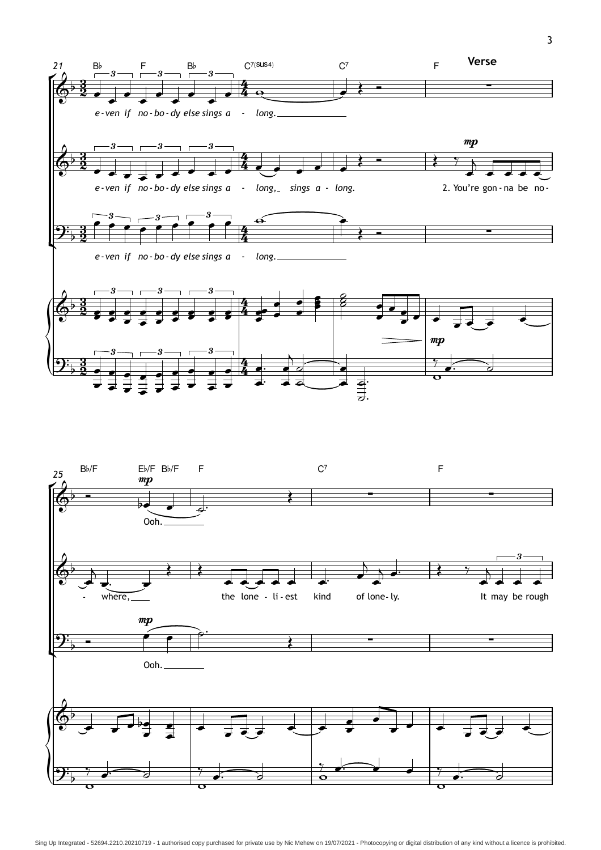

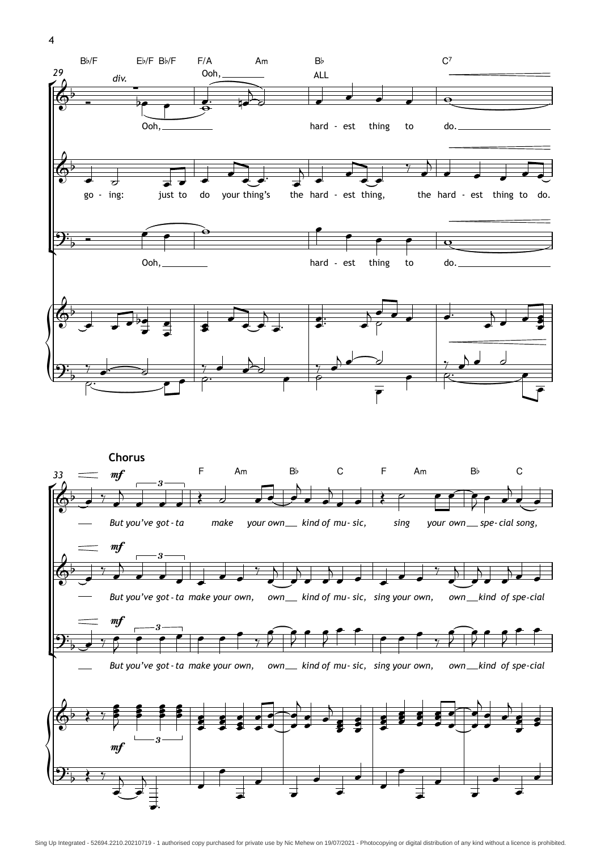![](_page_3_Figure_0.jpeg)

![](_page_3_Figure_1.jpeg)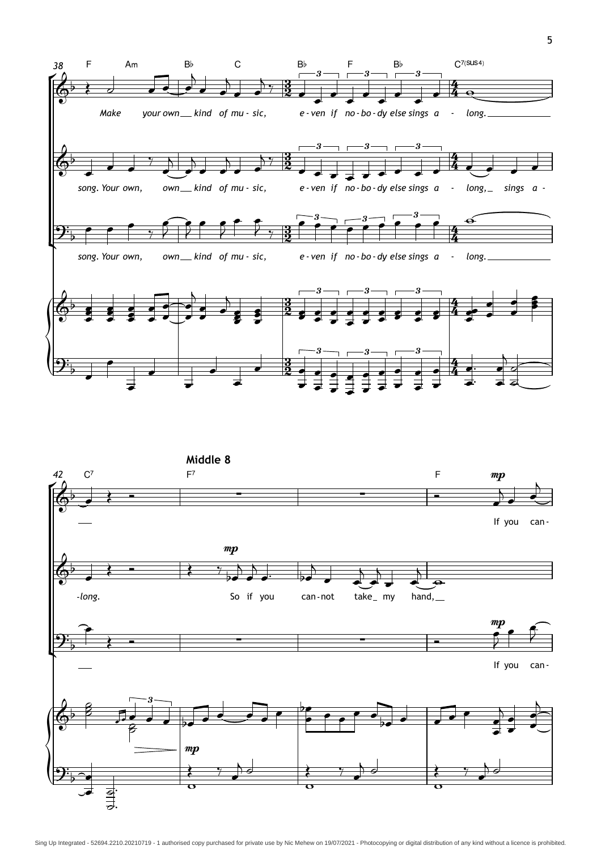![](_page_4_Figure_0.jpeg)

![](_page_4_Figure_1.jpeg)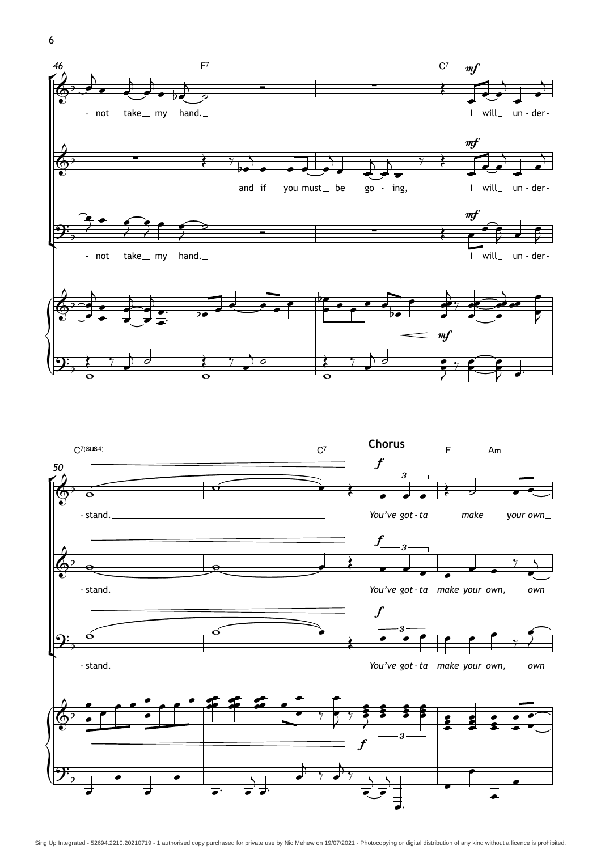6

![](_page_5_Figure_1.jpeg)

![](_page_5_Figure_2.jpeg)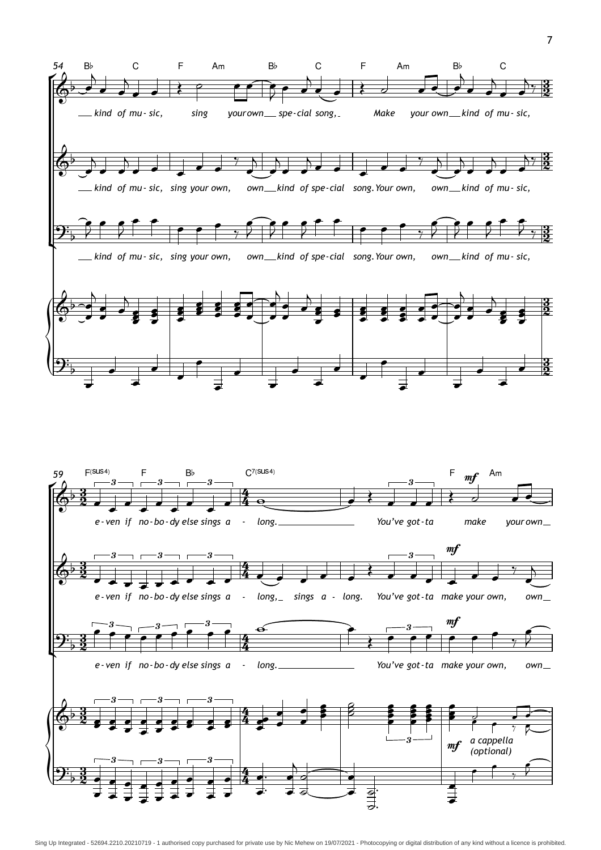![](_page_6_Figure_0.jpeg)

![](_page_6_Figure_1.jpeg)